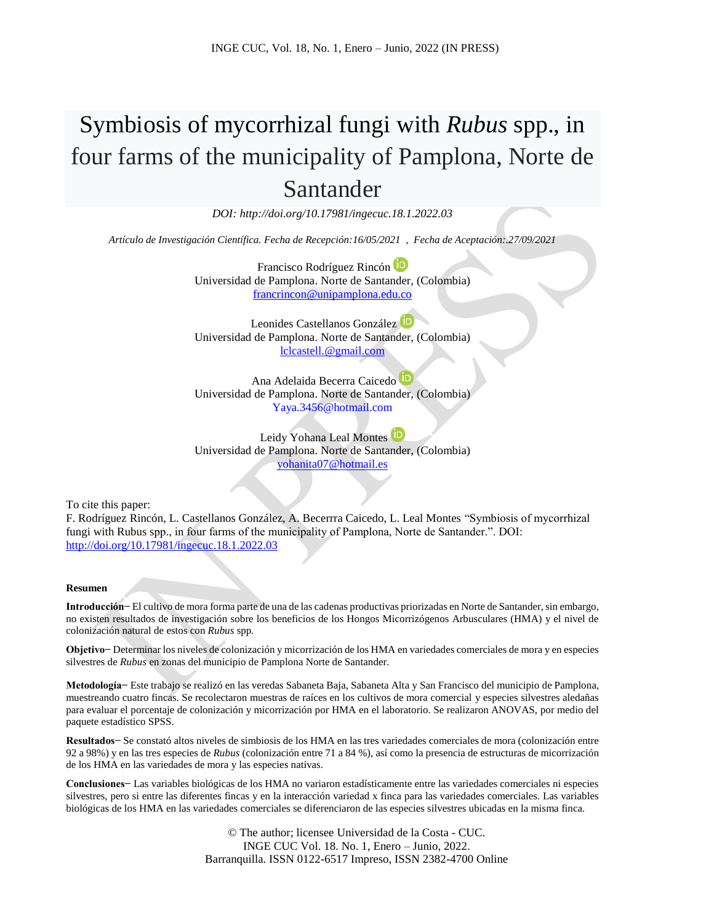# Symbiosis of mycorrhizal fungi with *Rubus* spp., in four farms of the municipality of Pamplona, Norte de Santander

*DOI: http://doi.org/10.17981/ingecuc.18.1.2022.03*

*Artículo de Investigación Científica. Fecha de Recepción:16/05/2021 , Fecha de Aceptación:.27/09/2021*

Francisco Rodríguez Rincón Universidad de Pamplona. Norte de Santander, (Colombia) [francrincon@unipamplona.edu.co](mailto:francrincon@unipamplona.edu.co)

Leonides Castellanos González Universidad de Pamplona. Norte de Santander, (Colombia) [lclcastell.@gmail.com](mailto:lclcastell.@gmail.com)

Ana Adelaida Becerra Caicedo Universidad de Pamplona. Norte de Santander, (Colombia) Yaya.3456@hotmail.com

Leidy Yohana Leal Montes Universidad de Pamplona. Norte de Santander, (Colombia) [yohanita07@hotmail.es](mailto:yohanita07@hotmail.es) 

To cite this paper:

F. Rodríguez Rincón, L. Castellanos González, A. Becerrra Caicedo, L. Leal Montes "Symbiosis of mycorrhizal fungi with Rubus spp., in four farms of the municipality of Pamplona, Norte de Santander.". DOI: <http://doi.org/10.17981/ingecuc.18.1.2022.03>

#### **Resumen**

**Introducción−** El cultivo de mora forma parte de una de las cadenas productivas priorizadas en Norte de Santander, sin embargo, no existen resultados de investigación sobre los beneficios de los Hongos Micorrizógenos Arbusculares (HMA) y el nivel de colonización natural de estos con *Rubus* spp*.*

**Objetivo−** Determinar los niveles de colonización y micorrización de los HMA en variedades comerciales de mora y en especies silvestres de *Rubus* en zonas del municipio de Pamplona Norte de Santander.

**Metodología−** Este trabajo se realizó en las veredas Sabaneta Baja, Sabaneta Alta y San Francisco del municipio de Pamplona, muestreando cuatro fincas. Se recolectaron muestras de raíces en los cultivos de mora comercial y especies silvestres aledañas para evaluar el porcentaje de colonización y micorrización por HMA en el laboratorio. Se realizaron ANOVAS, por medio del paquete estadístico SPSS.

**Resultados−** Se constató altos niveles de simbiosis de los HMA en las tres variedades comerciales de mora (colonización entre 92 a 98%) y en las tres especies de *Rubus* (colonización entre 71 a 84 %), así como la presencia de estructuras de micorrización de los HMA en las variedades de mora y las especies nativas.

**Conclusiones−** Las variables biológicas de los HMA no variaron estadísticamente entre las variedades comerciales ni especies silvestres, pero si entre las diferentes fincas y en la interacción variedad x finca para las variedades comerciales. Las variables biológicas de los HMA en las variedades comerciales se diferenciaron de las especies silvestres ubicadas en la misma finca.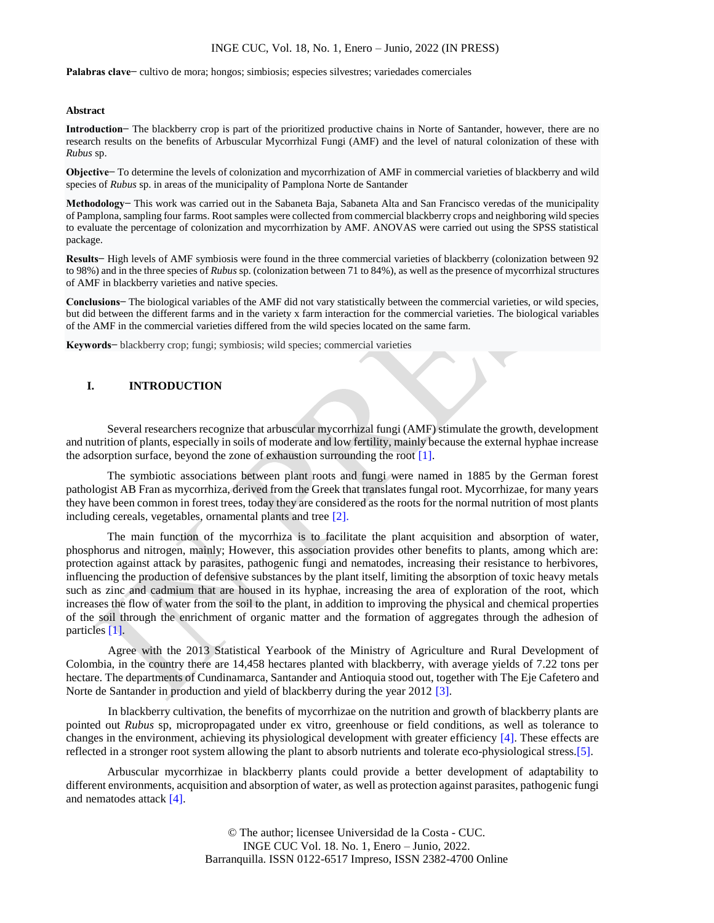**Palabras clave−** cultivo de mora; hongos; simbiosis; especies silvestres; variedades comerciales

#### **Abstract**

**Introduction−** The blackberry crop is part of the prioritized productive chains in Norte of Santander, however, there are no research results on the benefits of Arbuscular Mycorrhizal Fungi (AMF) and the level of natural colonization of these with *Rubus* sp.

**Objective−** To determine the levels of colonization and mycorrhization of AMF in commercial varieties of blackberry and wild species of *Rubus* sp. in areas of the municipality of Pamplona Norte de Santander

**Methodology−** This work was carried out in the Sabaneta Baja, Sabaneta Alta and San Francisco veredas of the municipality of Pamplona, sampling four farms. Root samples were collected from commercial blackberry crops and neighboring wild species to evaluate the percentage of colonization and mycorrhization by AMF. ANOVAS were carried out using the SPSS statistical package.

**Results−** High levels of AMF symbiosis were found in the three commercial varieties of blackberry (colonization between 92 to 98%) and in the three species of *Rubus* sp. (colonization between 71 to 84%), as well as the presence of mycorrhizal structures of AMF in blackberry varieties and native species.

**Conclusions−** The biological variables of the AMF did not vary statistically between the commercial varieties, or wild species, but did between the different farms and in the variety x farm interaction for the commercial varieties. The biological variables of the AMF in the commercial varieties differed from the wild species located on the same farm.

**Keywords−** blackberry crop; fungi; symbiosis; wild species; commercial varieties

# **I. INTRODUCTION**

Several researchers recognize that arbuscular mycorrhizal fungi (AMF) stimulate the growth, development and nutrition of plants, especially in soils of moderate and low fertility, mainly because the external hyphae increase the adsorption surface, beyond the zone of exhaustion surrounding the root [1].

The symbiotic associations between plant roots and fungi were named in 1885 by the German forest pathologist AB Fran as mycorrhiza, derived from the Greek that translates fungal root. Mycorrhizae, for many years they have been common in forest trees, today they are considered as the roots for the normal nutrition of most plants including cereals, vegetables, ornamental plants and tree [2].

The main function of the mycorrhiza is to facilitate the plant acquisition and absorption of water, phosphorus and nitrogen, mainly; However, this association provides other benefits to plants, among which are: protection against attack by parasites, pathogenic fungi and nematodes, increasing their resistance to herbivores, influencing the production of defensive substances by the plant itself, limiting the absorption of toxic heavy metals such as zinc and cadmium that are housed in its hyphae, increasing the area of exploration of the root, which increases the flow of water from the soil to the plant, in addition to improving the physical and chemical properties of the soil through the enrichment of organic matter and the formation of aggregates through the adhesion of particles [1].

Agree with the 2013 Statistical Yearbook of the Ministry of Agriculture and Rural Development of Colombia, in the country there are 14,458 hectares planted with blackberry, with average yields of 7.22 tons per hectare. The departments of Cundinamarca, Santander and Antioquia stood out, together with The Eje Cafetero and Norte de Santander in production and yield of blackberry during the year 2012 [3].

In blackberry cultivation, the benefits of mycorrhizae on the nutrition and growth of blackberry plants are pointed out *Rubus* sp, micropropagated under ex vitro, greenhouse or field conditions, as well as tolerance to changes in the environment, achieving its physiological development with greater efficiency [4]. These effects are reflected in a stronger root system allowing the plant to absorb nutrients and tolerate eco-physiological stress.[5].

Arbuscular mycorrhizae in blackberry plants could provide a better development of adaptability to different environments, acquisition and absorption of water, as well as protection against parasites, pathogenic fungi and nematodes attack [4].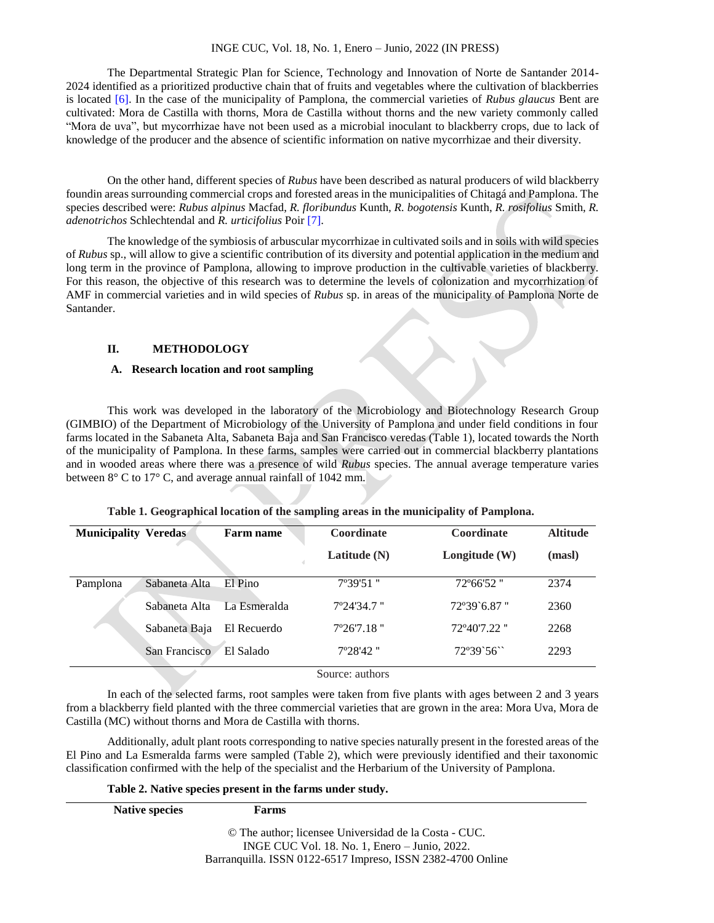The Departmental Strategic Plan for Science, Technology and Innovation of Norte de Santander 2014- 2024 identified as a prioritized productive chain that of fruits and vegetables where the cultivation of blackberries is located [6]. In the case of the municipality of Pamplona, the commercial varieties of *Rubus glaucus* Bent are cultivated: Mora de Castilla with thorns, Mora de Castilla without thorns and the new variety commonly called "Mora de uva", but mycorrhizae have not been used as a microbial inoculant to blackberry crops, due to lack of knowledge of the producer and the absence of scientific information on native mycorrhizae and their diversity.

On the other hand, different species of *Rubus* have been described as natural producers of wild blackberry foundin areas surrounding commercial crops and forested areas in the municipalities of Chitagá and Pamplona. The species described were: *Rubus alpinus* Macfad, *R. floribundus* Kunth*, R. bogotensis* Kunth, *R. rosifolius* Smith, *R. adenotrichos* Schlechtendal and *R. urticifolius* Poir [7].

The knowledge of the symbiosis of arbuscular mycorrhizae in cultivated soils and in soils with wild species of *Rubus* sp., will allow to give a scientific contribution of its diversity and potential application in the medium and long term in the province of Pamplona, allowing to improve production in the cultivable varieties of blackberry. For this reason, the objective of this research was to determine the levels of colonization and mycorrhization of AMF in commercial varieties and in wild species of *Rubus* sp. in areas of the municipality of Pamplona Norte de Santander.

# **II. METHODOLOGY**

# **A. Research location and root sampling**

This work was developed in the laboratory of the Microbiology and Biotechnology Research Group (GIMBIO) of the Department of Microbiology of the University of Pamplona and under field conditions in four farms located in the Sabaneta Alta, Sabaneta Baja and San Francisco veredas (Table 1), located towards the North of the municipality of Pamplona. In these farms, samples were carried out in commercial blackberry plantations and in wooded areas where there was a presence of wild *Rubus* species. The annual average temperature varies between 8° C to 17° C, and average annual rainfall of 1042 mm.

| <b>Municipality Veredas</b> |               | Farm name    | Coordinate           | Coordinate                       | <b>Altitude</b> |
|-----------------------------|---------------|--------------|----------------------|----------------------------------|-----------------|
|                             |               |              | Latitude $(N)$       | Longitude $(W)$                  | (masl)          |
| Pamplona                    | Sabaneta Alta | $E1$ Pino    | $7^{\circ}39'51$ "   | 72°66'52"                        | 2374            |
|                             | Sabaneta Alta | La Esmeralda | 7°24'34.7"           | 72°39`6.87 "                     | 2360            |
|                             | Sabaneta Baja | El Recuerdo  | $7^{\circ}26'7.18$ " | 72°40'7.22"                      | 2268            |
|                             | San Francisco | El Salado    | 7°28'42"             | $72^{\circ}39^{\circ}56^{\circ}$ | 2293            |
|                             |               |              | Source: authors      |                                  |                 |

#### **Table 1. Geographical location of the sampling areas in the municipality of Pamplona.**

In each of the selected farms, root samples were taken from five plants with ages between 2 and 3 years from a blackberry field planted with the three commercial varieties that are grown in the area: Mora Uva, Mora de Castilla (MC) without thorns and Mora de Castilla with thorns.

Additionally, adult plant roots corresponding to native species naturally present in the forested areas of the El Pino and La Esmeralda farms were sampled (Table 2), which were previously identified and their taxonomic classification confirmed with the help of the specialist and the Herbarium of the University of Pamplona.

**Table 2. Native species present in the farms under study.**

**Native species Farms**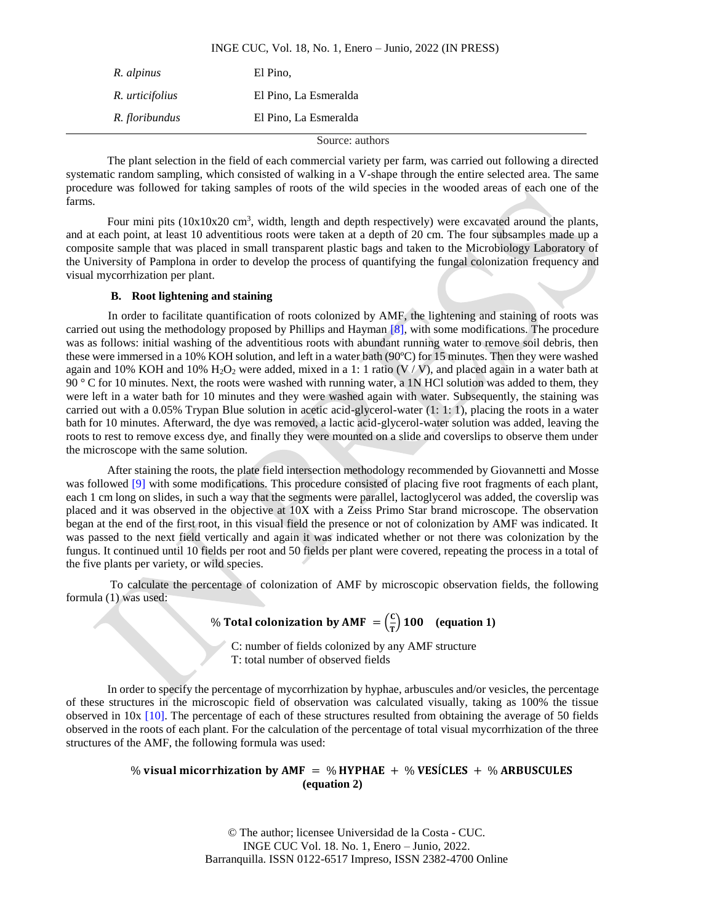| R. alpinus      | El Pino.              |
|-----------------|-----------------------|
| R. urticifolius | El Pino, La Esmeralda |
| R. floribundus  | El Pino, La Esmeralda |

Source: authors

The plant selection in the field of each commercial variety per farm, was carried out following a directed systematic random sampling, which consisted of walking in a V-shape through the entire selected area. The same procedure was followed for taking samples of roots of the wild species in the wooded areas of each one of the farms.

Four mini pits  $(10x10x20 \text{ cm}^3, \text{width}, \text{length} \text{ and depth respectively})$  were excavated around the plants, and at each point, at least 10 adventitious roots were taken at a depth of 20 cm. The four subsamples made up a composite sample that was placed in small transparent plastic bags and taken to the Microbiology Laboratory of the University of Pamplona in order to develop the process of quantifying the fungal colonization frequency and visual mycorrhization per plant.

# **B. Root lightening and staining**

In order to facilitate quantification of roots colonized by AMF, the lightening and staining of roots was carried out using the methodology proposed by Phillips and Hayman [8], with some modifications. The procedure was as follows: initial washing of the adventitious roots with abundant running water to remove soil debris, then these were immersed in a 10% KOH solution, and left in a water bath (90ºC) for 15 minutes. Then they were washed again and 10% KOH and 10%  $H_2O_2$  were added, mixed in a 1: 1 ratio (V/V), and placed again in a water bath at 90 ° C for 10 minutes. Next, the roots were washed with running water, a 1N HCl solution was added to them, they were left in a water bath for 10 minutes and they were washed again with water. Subsequently, the staining was carried out with a 0.05% Trypan Blue solution in acetic acid-glycerol-water (1: 1: 1), placing the roots in a water bath for 10 minutes. Afterward, the dye was removed, a lactic acid-glycerol-water solution was added, leaving the roots to rest to remove excess dye, and finally they were mounted on a slide and coverslips to observe them under the microscope with the same solution.

After staining the roots, the plate field intersection methodology recommended by Giovannetti and Mosse was followed [9] with some modifications. This procedure consisted of placing five root fragments of each plant, each 1 cm long on slides, in such a way that the segments were parallel, lactoglycerol was added, the coverslip was placed and it was observed in the objective at 10X with a Zeiss Primo Star brand microscope. The observation began at the end of the first root, in this visual field the presence or not of colonization by AMF was indicated. It was passed to the next field vertically and again it was indicated whether or not there was colonization by the fungus. It continued until 10 fields per root and 50 fields per plant were covered, repeating the process in a total of the five plants per variety, or wild species.

To calculate the percentage of colonization of AMF by microscopic observation fields, the following formula (1) was used:

#### % Total colonization by AMF  $=$   $(\frac{c}{\pi})$  $\frac{c}{T}$ ) **100** (equation 1)

C: number of fields colonized by any AMF structure T: total number of observed fields

In order to specify the percentage of mycorrhization by hyphae, arbuscules and/or vesicles, the percentage of these structures in the microscopic field of observation was calculated visually, taking as 100% the tissue observed in 10x  $[10]$ . The percentage of each of these structures resulted from obtaining the average of 50 fields observed in the roots of each plant. For the calculation of the percentage of total visual mycorrhization of the three structures of the AMF, the following formula was used:

# % visual micorrhization by AMF = % HYPHAE + % VESICLES + % ARBUSCULES **(equation 2)**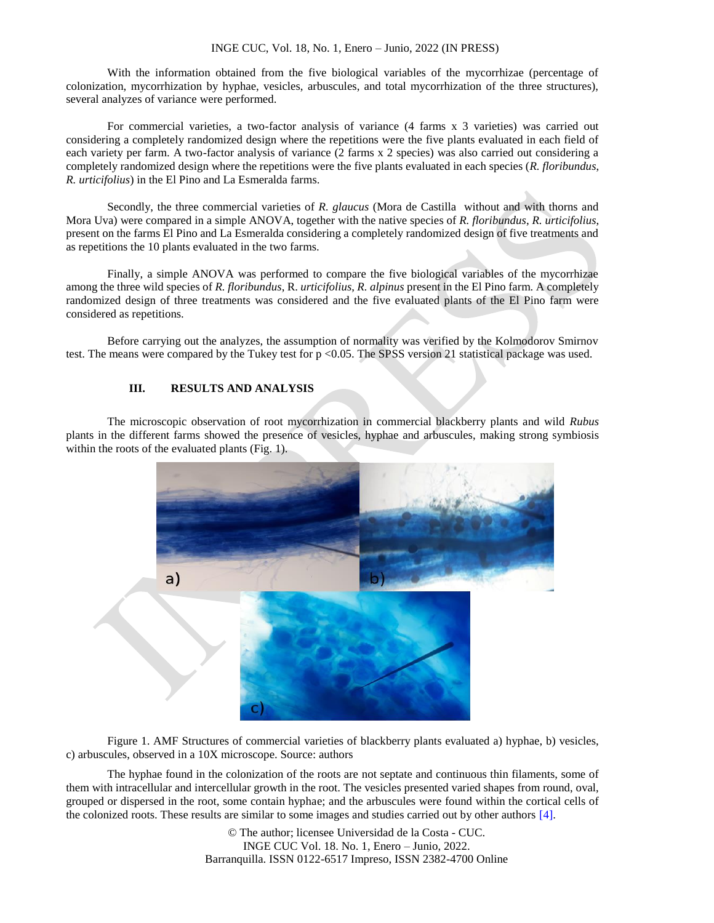With the information obtained from the five biological variables of the mycorrhizae (percentage of colonization, mycorrhization by hyphae, vesicles, arbuscules, and total mycorrhization of the three structures), several analyzes of variance were performed.

For commercial varieties, a two-factor analysis of variance (4 farms x 3 varieties) was carried out considering a completely randomized design where the repetitions were the five plants evaluated in each field of each variety per farm. A two-factor analysis of variance (2 farms x 2 species) was also carried out considering a completely randomized design where the repetitions were the five plants evaluated in each species (*R. floribundus*, *R. urticifolius*) in the El Pino and La Esmeralda farms.

Secondly, the three commercial varieties of *R. glaucus* (Mora de Castilla without and with thorns and Mora Uva) were compared in a simple ANOVA, together with the native species of *R. floribundus*, *R. urticifolius*, present on the farms El Pino and La Esmeralda considering a completely randomized design of five treatments and as repetitions the 10 plants evaluated in the two farms.

Finally, a simple ANOVA was performed to compare the five biological variables of the mycorrhizae among the three wild species of *R. floribundus*, R. *urticifolius*, *R. alpinus* present in the El Pino farm. A completely randomized design of three treatments was considered and the five evaluated plants of the El Pino farm were considered as repetitions.

Before carrying out the analyzes, the assumption of normality was verified by the Kolmodorov Smirnov test. The means were compared by the Tukey test for p <0.05. The SPSS version 21 statistical package was used.

# **III. RESULTS AND ANALYSIS**

The microscopic observation of root mycorrhization in commercial blackberry plants and wild *Rubus* plants in the different farms showed the presence of vesicles, hyphae and arbuscules, making strong symbiosis within the roots of the evaluated plants (Fig. 1).



Figure 1. AMF Structures of commercial varieties of blackberry plants evaluated a) hyphae, b) vesicles, c) arbuscules, observed in a 10X microscope. Source: authors

The hyphae found in the colonization of the roots are not septate and continuous thin filaments, some of them with intracellular and intercellular growth in the root. The vesicles presented varied shapes from round, oval, grouped or dispersed in the root, some contain hyphae; and the arbuscules were found within the cortical cells of the colonized roots. These results are similar to some images and studies carried out by other authors [4].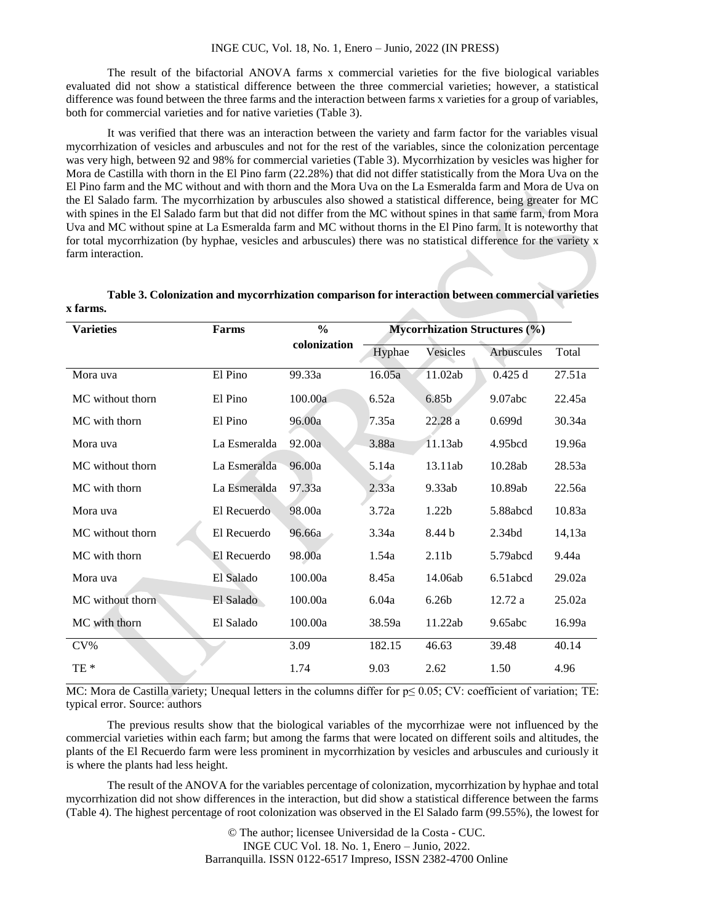The result of the bifactorial ANOVA farms x commercial varieties for the five biological variables evaluated did not show a statistical difference between the three commercial varieties; however, a statistical difference was found between the three farms and the interaction between farms x varieties for a group of variables, both for commercial varieties and for native varieties (Table 3).

It was verified that there was an interaction between the variety and farm factor for the variables visual mycorrhization of vesicles and arbuscules and not for the rest of the variables, since the colonization percentage was very high, between 92 and 98% for commercial varieties (Table 3). Mycorrhization by vesicles was higher for Mora de Castilla with thorn in the El Pino farm (22.28%) that did not differ statistically from the Mora Uva on the El Pino farm and the MC without and with thorn and the Mora Uva on the La Esmeralda farm and Mora de Uva on the El Salado farm. The mycorrhization by arbuscules also showed a statistical difference, being greater for MC with spines in the El Salado farm but that did not differ from the MC without spines in that same farm, from Mora Uva and MC without spine at La Esmeralda farm and MC without thorns in the El Pino farm. It is noteworthy that for total mycorrhization (by hyphae, vesicles and arbuscules) there was no statistical difference for the variety x farm interaction.

| <b>Varieties</b> | Farms        | $\frac{0}{0}$<br>colonization | <b>Mycorrhization Structures (%)</b> |                   |            |        |
|------------------|--------------|-------------------------------|--------------------------------------|-------------------|------------|--------|
|                  |              |                               | Hyphae                               | Vesicles          | Arbuscules | Total  |
| Mora uva         | El Pino      | 99.33a                        | 16.05a                               | 11.02ab           | 0.425d     | 27.51a |
| MC without thorn | El Pino      | 100.00a                       | 6.52a                                | 6.85b             | 9.07abc    | 22.45a |
| MC with thorn    | El Pino      | 96.00a                        | 7.35a                                | 22.28a            | 0.699d     | 30.34a |
| Mora uva         | La Esmeralda | 92.00a                        | 3.88a                                | 11.13ab           | 4.95bcd    | 19.96a |
| MC without thorn | La Esmeralda | 96.00a                        | 5.14a                                | 13.11ab           | 10.28ab    | 28.53a |
| MC with thorn    | La Esmeralda | 97.33a                        | 2.33a                                | 9.33ab            | 10.89ab    | 22.56a |
| Mora uva         | El Recuerdo  | 98.00a                        | 3.72a                                | 1.22b             | 5.88abcd   | 10.83a |
| MC without thorn | El Recuerdo  | 96.66a                        | 3.34a                                | 8.44 b            | 2.34bd     | 14,13a |
| MC with thorn    | El Recuerdo  | 98.00a                        | 1.54a                                | 2.11 <sub>b</sub> | 5.79abcd   | 9.44a  |
| Mora uva         | El Salado    | 100.00a                       | 8.45a                                | 14.06ab           | 6.51abcd   | 29.02a |
| MC without thorn | El Salado    | 100.00a                       | 6.04a                                | 6.26 <sub>b</sub> | 12.72 a    | 25.02a |
| MC with thorn    | El Salado    | 100.00a                       | 38.59a                               | 11.22ab           | 9.65abc    | 16.99a |
| $CV\%$           |              | 3.09                          | 182.15                               | 46.63             | 39.48      | 40.14  |
| TE <sup>*</sup>  |              | 1.74                          | 9.03                                 | 2.62              | 1.50       | 4.96   |

**Table 3. Colonization and mycorrhization comparison for interaction between commercial varieties x farms.** 

MC: Mora de Castilla variety; Unequal letters in the columns differ for p≤ 0.05; CV: coefficient of variation; TE: typical error. Source: authors

The previous results show that the biological variables of the mycorrhizae were not influenced by the commercial varieties within each farm; but among the farms that were located on different soils and altitudes, the plants of the El Recuerdo farm were less prominent in mycorrhization by vesicles and arbuscules and curiously it is where the plants had less height.

The result of the ANOVA for the variables percentage of colonization, mycorrhization by hyphae and total mycorrhization did not show differences in the interaction, but did show a statistical difference between the farms (Table 4). The highest percentage of root colonization was observed in the El Salado farm (99.55%), the lowest for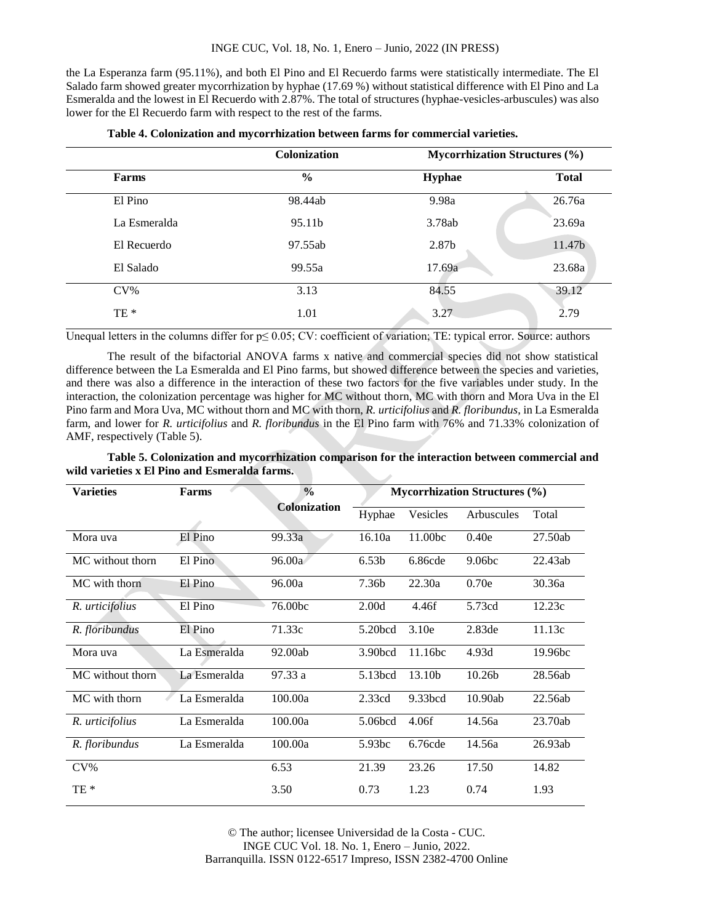the La Esperanza farm (95.11%), and both El Pino and El Recuerdo farms were statistically intermediate. The El Salado farm showed greater mycorrhization by hyphae (17.69 %) without statistical difference with El Pino and La Esmeralda and the lowest in El Recuerdo with 2.87%. The total of structures (hyphae-vesicles-arbuscules) was also lower for the El Recuerdo farm with respect to the rest of the farms.

|              | <b>Colonization</b> | <b>Mycorrhization Structures (%)</b> |              |  |
|--------------|---------------------|--------------------------------------|--------------|--|
| Farms        | $\frac{6}{9}$       | <b>Hyphae</b>                        | <b>Total</b> |  |
| El Pino      | 98.44ab             | 9.98a                                | 26.76a       |  |
| La Esmeralda | 95.11b              | 3.78ab                               | 23.69a       |  |
| El Recuerdo  | 97.55ab             | 2.87b                                | 11.47b       |  |
| El Salado    | 99.55a              | 17.69a                               | 23.68a       |  |
| $CV\%$       | 3.13                | 84.55                                | 39.12        |  |
| $TE*$        | 1.01                | 3.27                                 | 2.79         |  |

**Table 4. Colonization and mycorrhization between farms for commercial varieties.**

Unequal letters in the columns differ for p≤ 0.05; CV: coefficient of variation; TE: typical error. Source: authors

The result of the bifactorial ANOVA farms x native and commercial species did not show statistical difference between the La Esmeralda and El Pino farms, but showed difference between the species and varieties, and there was also a difference in the interaction of these two factors for the five variables under study. In the interaction, the colonization percentage was higher for MC without thorn, MC with thorn and Mora Uva in the El Pino farm and Mora Uva, MC without thorn and MC with thorn, *R. urticifolius* and *R. floribundus*, in La Esmeralda farm, and lower for *R. urticifolius* and *R. floribundus* in the El Pino farm with 76% and 71.33% colonization of AMF, respectively (Table 5).

| <b>Varieties</b> | Farms        | $\frac{0}{0}$       | <b>Mycorrhization Structures (%)</b> |                     |                    |         |
|------------------|--------------|---------------------|--------------------------------------|---------------------|--------------------|---------|
|                  |              | <b>Colonization</b> | Hyphae                               | Vesicles            | Arbuscules         | Total   |
| Mora uva         | El Pino      | 99.33a              | 16.10a                               | 11.00bc             | 0.40e              | 27.50ab |
| MC without thorn | El Pino      | 96.00a              | 6.53 <sub>b</sub>                    | 6.86cde             | 9.06 <sub>bc</sub> | 22.43ab |
| MC with thorn    | El Pino      | 96.00a              | 7.36b                                | 22.30a              | 0.70e              | 30.36a  |
| R. urticifolius  | El Pino      | 76.00bc             | 2.00 <sub>d</sub>                    | 4.46f               | 5.73cd             | 12.23c  |
| R. floribundus   | El Pino      | 71.33c              | 5.20bcd                              | 3.10e               | 2.83de             | 11.13c  |
| Mora uva         | La Esmeralda | 92.00ab             | 3.90bcd                              | 11.16 <sub>bc</sub> | 4.93d              | 19.96bc |
| MC without thorn | La Esmeralda | 97.33 a             | 5.13bcd                              | 13.10b              | 10.26 <sub>b</sub> | 28.56ab |
| MC with thorn    | La Esmeralda | 100.00a             | 2.33cd                               | 9.33bcd             | 10.90ab            | 22.56ab |
| R. urticifolius  | La Esmeralda | 100.00a             | 5.06bcd                              | 4.06f               | 14.56a             | 23.70ab |

*R. floribundus* La Esmeralda 100.00a 5.93bc 6.76cde 14.56a 26.93ab

CV% 6.53 21.39 23.26 17.50 14.82 TE \* 3.50 0.73 1.23 0.74 1.93

**Table 5. Colonization and mycorrhization comparison for the interaction between commercial and wild varieties x El Pino and Esmeralda farms.**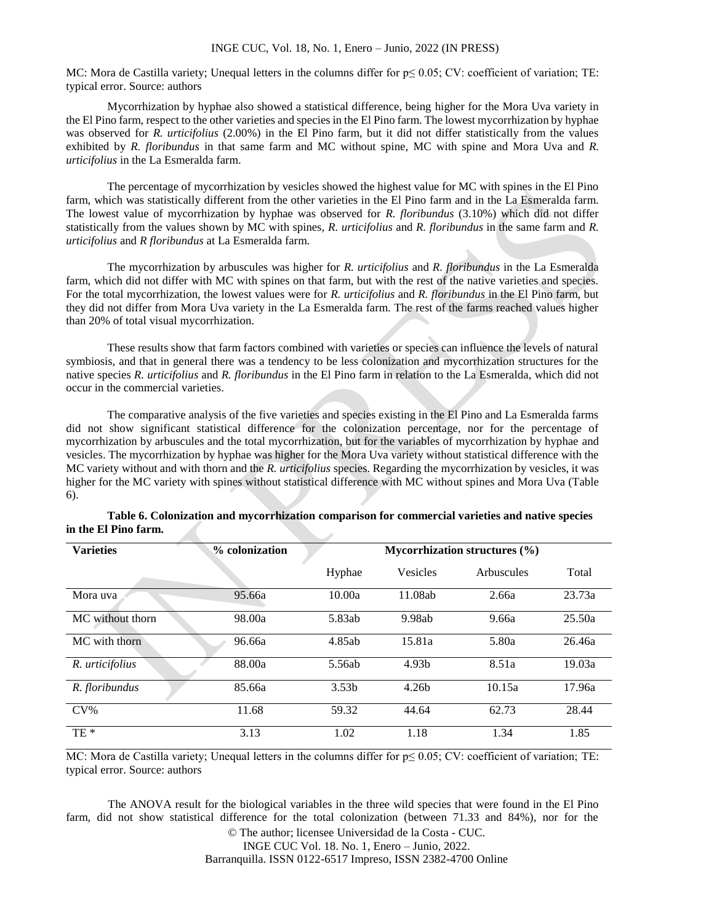MC: Mora de Castilla variety; Unequal letters in the columns differ for p≤ 0.05; CV: coefficient of variation; TE: typical error. Source: authors

Mycorrhization by hyphae also showed a statistical difference, being higher for the Mora Uva variety in the El Pino farm, respect to the other varieties and species in the El Pino farm. The lowest mycorrhization by hyphae was observed for *R. urticifolius* (2.00%) in the El Pino farm, but it did not differ statistically from the values exhibited by *R. floribundus* in that same farm and MC without spine, MC with spine and Mora Uva and *R. urticifolius* in the La Esmeralda farm.

The percentage of mycorrhization by vesicles showed the highest value for MC with spines in the El Pino farm, which was statistically different from the other varieties in the El Pino farm and in the La Esmeralda farm. The lowest value of mycorrhization by hyphae was observed for *R. floribundus* (3.10%) which did not differ statistically from the values shown by MC with spines, *R. urticifolius* and *R. floribundus* in the same farm and *R. urticifolius* and *R floribundus* at La Esmeralda farm.

The mycorrhization by arbuscules was higher for *R. urticifolius* and *R. floribundus* in the La Esmeralda farm, which did not differ with MC with spines on that farm, but with the rest of the native varieties and species. For the total mycorrhization, the lowest values were for *R. urticifolius* and *R. floribundus* in the El Pino farm, but they did not differ from Mora Uva variety in the La Esmeralda farm. The rest of the farms reached values higher than 20% of total visual mycorrhization.

These results show that farm factors combined with varieties or species can influence the levels of natural symbiosis, and that in general there was a tendency to be less colonization and mycorrhization structures for the native species *R. urticifolius* and *R. floribundus* in the El Pino farm in relation to the La Esmeralda, which did not occur in the commercial varieties.

The comparative analysis of the five varieties and species existing in the El Pino and La Esmeralda farms did not show significant statistical difference for the colonization percentage, nor for the percentage of mycorrhization by arbuscules and the total mycorrhization, but for the variables of mycorrhization by hyphae and vesicles. The mycorrhization by hyphae was higher for the Mora Uva variety without statistical difference with the MC variety without and with thorn and the *R. urticifolius* species. Regarding the mycorrhization by vesicles, it was higher for the MC variety with spines without statistical difference with MC without spines and Mora Uva (Table 6).

| <b>Varieties</b> | % colonization | Mycorrhization structures $(\% )$ |                   |            |        |
|------------------|----------------|-----------------------------------|-------------------|------------|--------|
|                  |                | Hyphae                            | <b>Vesicles</b>   | Arbuscules | Total  |
| Mora uva         | 95.66a         | 10.00a                            | 11.08ab           | 2.66a      | 23.73a |
| MC without thorn | 98.00a         | 5.83ab                            | 9.98ab            | 9.66a      | 25.50a |
| MC with thorn    | 96.66a         | 4.85ab                            | 15.81a            | 5.80a      | 26.46a |
| R. urticifolius  | 88.00a         | 5.56ab                            | 4.93b             | 8.51a      | 19.03a |
| R. floribundus   | 85.66a         | 3.53 <sub>b</sub>                 | 4.26 <sub>b</sub> | 10.15a     | 17.96a |
| $CV\%$           | 11.68          | 59.32                             | 44.64             | 62.73      | 28.44  |
| TE <sup>*</sup>  | 3.13           | 1.02                              | 1.18              | 1.34       | 1.85   |

**Table 6. Colonization and mycorrhization comparison for commercial varieties and native species in the El Pino farm.**

MC: Mora de Castilla variety; Unequal letters in the columns differ for p≤ 0.05; CV: coefficient of variation; TE: typical error. Source: authors

© The author; licensee Universidad de la Costa - CUC. The ANOVA result for the biological variables in the three wild species that were found in the El Pino farm, did not show statistical difference for the total colonization (between 71.33 and 84%), nor for the

INGE CUC Vol. 18. No. 1, Enero – Junio, 2022. Barranquilla. ISSN 0122-6517 Impreso, ISSN 2382-4700 Online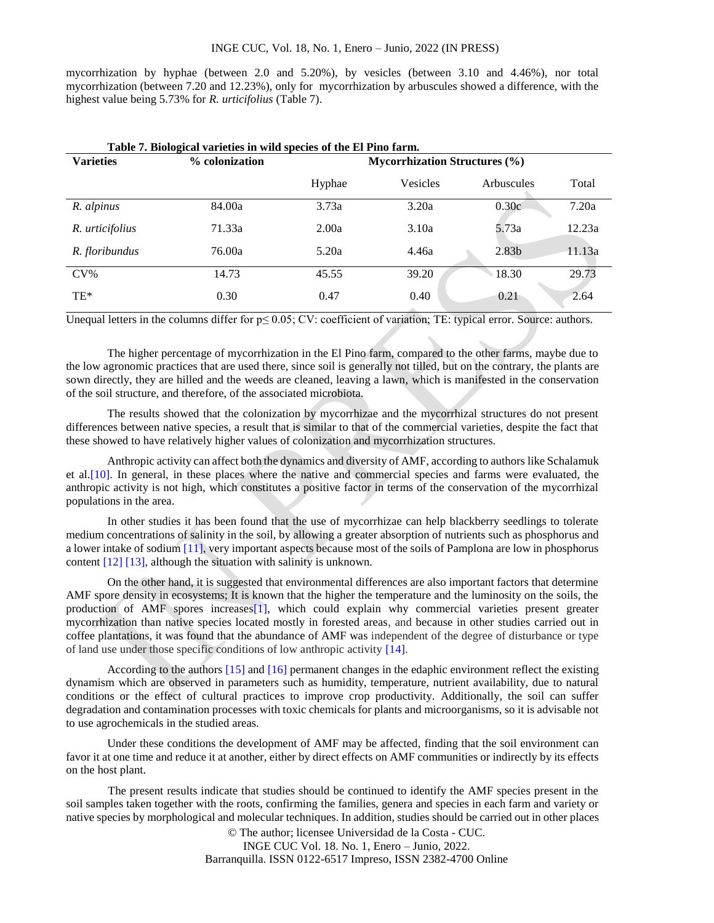mycorrhization by hyphae (between 2.0 and 5.20%), by vesicles (between 3.10 and 4.46%), nor total mycorrhization (between 7.20 and 12.23%), only for mycorrhization by arbuscules showed a difference, with the highest value being 5.73% for *R. urticifolius* (Table 7).

| <b>Varieties</b> | % colonization | <b>Mycorrhization Structures (%)</b> |          |                   |        |  |
|------------------|----------------|--------------------------------------|----------|-------------------|--------|--|
|                  |                | Hyphae                               | Vesicles | Arbuscules        | Total  |  |
| R. alpinus       | 84.00a         | 3.73a                                | 3.20a    | 0.30c             | 7.20a  |  |
| R. urticifolius  | 71.33a         | 2.00a                                | 3.10a    | 5.73a             | 12.23a |  |
| R. floribundus   | 76.00a         | 5.20a                                | 4.46a    | 2.83 <sub>b</sub> | 11.13a |  |
| $CV\%$           | 14.73          | 45.55                                | 39.20    | 18.30             | 29.73  |  |
| TE*              | 0.30           | 0.47                                 | 0.40     | 0.21              | 2.64   |  |

Unequal letters in the columns differ for p≤ 0.05; CV: coefficient of variation; TE: typical error. Source: authors.

The higher percentage of mycorrhization in the El Pino farm, compared to the other farms, maybe due to the low agronomic practices that are used there, since soil is generally not tilled, but on the contrary, the plants are sown directly, they are hilled and the weeds are cleaned, leaving a lawn, which is manifested in the conservation of the soil structure, and therefore, of the associated microbiota.

The results showed that the colonization by mycorrhizae and the mycorrhizal structures do not present differences between native species, a result that is similar to that of the commercial varieties, despite the fact that these showed to have relatively higher values of colonization and mycorrhization structures.

Anthropic activity can affect both the dynamics and diversity of AMF, according to authors like Schalamuk et al.[10]. In general, in these places where the native and commercial species and farms were evaluated, the anthropic activity is not high, which constitutes a positive factor in terms of the conservation of the mycorrhizal populations in the area.

In other studies it has been found that the use of mycorrhizae can help blackberry seedlings to tolerate medium concentrations of salinity in the soil, by allowing a greater absorption of nutrients such as phosphorus and a lower intake of sodium [11], very important aspects because most of the soils of Pamplona are low in phosphorus content [12] [13], although the situation with salinity is unknown.

On the other hand, it is suggested that environmental differences are also important factors that determine AMF spore density in ecosystems; It is known that the higher the temperature and the luminosity on the soils, the production of AMF spores increases[1], which could explain why commercial varieties present greater mycorrhization than native species located mostly in forested areas, and because in other studies carried out in coffee plantations, it was found that the abundance of AMF was independent of the degree of disturbance or type of land use under those specific conditions of low anthropic activity [14].

According to the authors [15] and [16] permanent changes in the edaphic environment reflect the existing dynamism which are observed in parameters such as humidity, temperature, nutrient availability, due to natural conditions or the effect of cultural practices to improve crop productivity. Additionally, the soil can suffer degradation and contamination processes with toxic chemicals for plants and microorganisms, so it is advisable not to use agrochemicals in the studied areas.

Under these conditions the development of AMF may be affected, finding that the soil environment can favor it at one time and reduce it at another, either by direct effects on AMF communities or indirectly by its effects on the host plant.

The present results indicate that studies should be continued to identify the AMF species present in the soil samples taken together with the roots, confirming the families, genera and species in each farm and variety or native species by morphological and molecular techniques. In addition, studies should be carried out in other places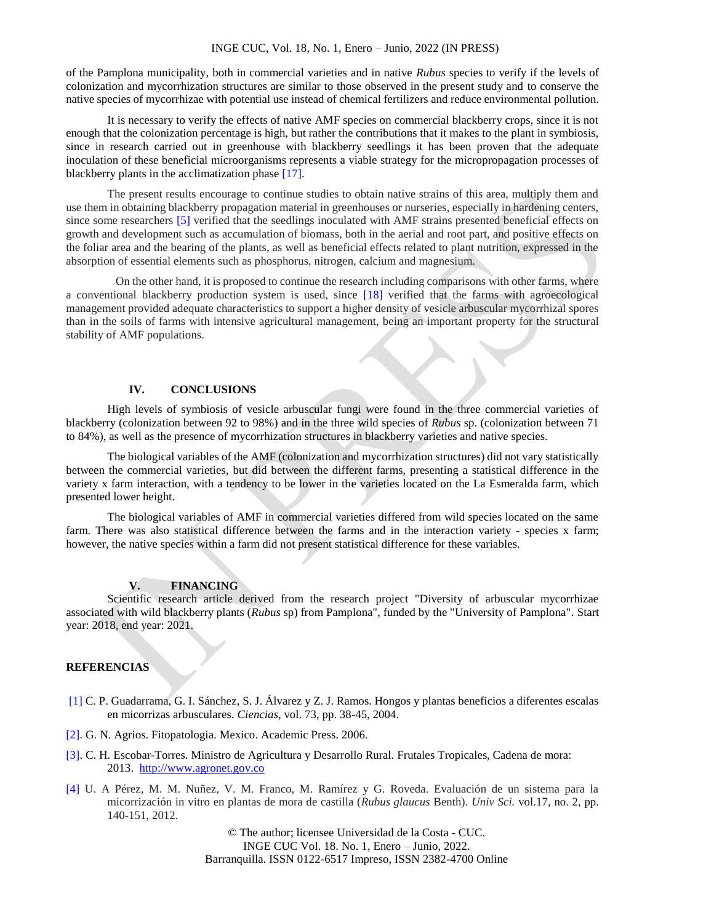of the Pamplona municipality, both in commercial varieties and in native *Rubus* species to verify if the levels of colonization and mycorrhization structures are similar to those observed in the present study and to conserve the native species of mycorrhizae with potential use instead of chemical fertilizers and reduce environmental pollution.

It is necessary to verify the effects of native AMF species on commercial blackberry crops, since it is not enough that the colonization percentage is high, but rather the contributions that it makes to the plant in symbiosis, since in research carried out in greenhouse with blackberry seedlings it has been proven that the adequate inoculation of these beneficial microorganisms represents a viable strategy for the micropropagation processes of blackberry plants in the acclimatization phase [17].

The present results encourage to continue studies to obtain native strains of this area, multiply them and use them in obtaining blackberry propagation material in greenhouses or nurseries, especially in hardening centers, since some researchers [5] verified that the seedlings inoculated with AMF strains presented beneficial effects on growth and development such as accumulation of biomass, both in the aerial and root part, and positive effects on the foliar area and the bearing of the plants, as well as beneficial effects related to plant nutrition, expressed in the absorption of essential elements such as phosphorus, nitrogen, calcium and magnesium.

On the other hand, it is proposed to continue the research including comparisons with other farms, where a conventional blackberry production system is used, since [18] verified that the farms with agroecological management provided adequate characteristics to support a higher density of vesicle arbuscular mycorrhizal spores than in the soils of farms with intensive agricultural management, being an important property for the structural stability of AMF populations.

# **IV. CONCLUSIONS**

High levels of symbiosis of vesicle arbuscular fungi were found in the three commercial varieties of blackberry (colonization between 92 to 98%) and in the three wild species of *Rubus* sp. (colonization between 71 to 84%), as well as the presence of mycorrhization structures in blackberry varieties and native species.

The biological variables of the AMF (colonization and mycorrhization structures) did not vary statistically between the commercial varieties, but did between the different farms, presenting a statistical difference in the variety x farm interaction, with a tendency to be lower in the varieties located on the La Esmeralda farm, which presented lower height.

The biological variables of AMF in commercial varieties differed from wild species located on the same farm. There was also statistical difference between the farms and in the interaction variety - species x farm; however, the native species within a farm did not present statistical difference for these variables.

#### **V. FINANCING**

Scientific research article derived from the research project "Diversity of arbuscular mycorrhizae associated with wild blackberry plants (*Rubus* sp) from Pamplona", funded by the "University of Pamplona". Start year: 2018, end year: 2021.

## **REFERENCIAS**

- [1] C. P. Guadarrama, G. I. Sánchez, S. J. Álvarez y Z. J. Ramos. Hongos y plantas beneficios a diferentes escalas en micorrizas arbusculares. *Ciencias*, vol. 73, pp. 38-45, 2004.
- [2]. G. N. Agrios. Fitopatologia. Mexico. Academic Press. 2006.
- [3]. C. H. Escobar-Torres. Ministro de Agricultura y Desarrollo Rural. Frutales Tropicales, Cadena de mora: 2013. [http://www.agronet.gov.co](http://www.agronet.gov.co/)
- [4] U. A Pérez, M. M. Nuñez, V. M. Franco, M. Ramírez y G. Roveda. Evaluación de un sistema para la micorrización in vitro en plantas de mora de castilla (*Rubus glaucus* Benth). *Univ Sci.* vol.17, no. 2, pp. 140-151, 2012.